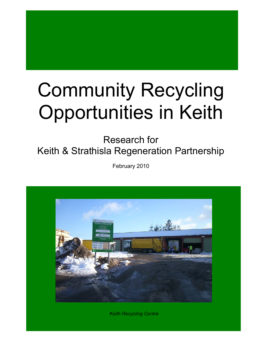# Community Recycling Opportunities in Keith

Research for Keith & Strathisla Regeneration Partnership

February 2010



*Keith Recycling Centre*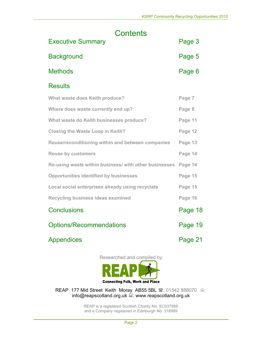| Contents                                              |         |
|-------------------------------------------------------|---------|
| <b>Executive Summary</b>                              | Page 3  |
| <b>Background</b>                                     | Page 5  |
| <b>Methods</b>                                        | Page 6  |
| <b>Results</b>                                        |         |
| <b>What waste does Keith produce?</b>                 | Page 7  |
| Where does waste currently end up?                    | Page 8  |
| What waste do Keith businesses produce?               | Page 11 |
| <b>Closing the Waste Loop in Keith?</b>               | Page 12 |
| Reuse/reconditioning within and between companies     | Page 13 |
| <b>Reuse by customers</b>                             | Page 14 |
| Re-using waste within business/ with other businesses | Page 14 |
| <b>Opportunities identified by businesses</b>         | Page 15 |
| Local social enterprises already using recyclate      | Page 15 |
| <b>Recycling business ideas examined</b>              | Page 16 |
| <b>Conclusions</b>                                    | Page 18 |
| <b>Options/Recommendations</b>                        | Page 19 |
| Appendices                                            | Page 21 |

Researched and compiled by



REAP 177 Mid Street Keith Moray AB55 5BL  $\blacksquare$ : 01542 888070  $\equiv$ : info@reapscotland.org.uk  $\stackrel{?}{=}$ : www.reapscotland.org.uk

> REAP is a registered Scottish Charity No: SC037988 and a Company registered in Edinburgh No: 316989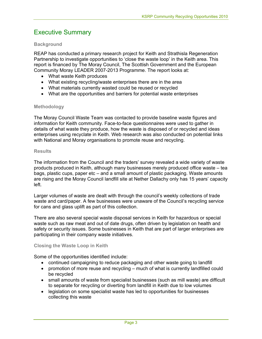# Executive Summary

# **Background**

REAP has conducted a primary research project for Keith and Strathisla Regeneration Partnership to investigate opportunities to 'close the waste loop' in the Keith area. This report is financed by The Moray Council, The Scottish Government and the European Community Moray LEADER 2007-2013 Programme. The report looks at:

- What waste Keith produces
- What existing recycling/waste enterprises there are in the area
- What materials currently wasted could be reused or recycled
- What are the opportunities and barriers for potential waste enterprises

#### **Methodology**

The Moray Council Waste Team was contacted to provide baseline waste figures and information for Keith community. Face-to-face questionnaires were used to gather in details of what waste they produce, how the waste is disposed of or recycled and ideas enterprises using recyclate in Keith. Web research was also conducted on potential links with National and Moray organisations to promote reuse and recycling.

#### **Results**

The information from the Council and the traders' survey revealed a wide variety of waste products produced in Keith, although many businesses merely produced office waste – tea bags, plastic cups, paper etc – and a small amount of plastic packaging. Waste amounts are rising and the Moray Council landfill site at Nether Dallachy only has 15 years' capacity left.

Larger volumes of waste are dealt with through the council's weekly collections of trade waste and card/paper. A few businesses were unaware of the Council's recycling service for cans and glass uplift as part of this collection.

There are also several special waste disposal services in Keith for hazardous or special waste such as raw meat and out of date drugs, often driven by legislation on health and safety or security issues. Some businesses in Keith that are part of larger enterprises are participating in their company waste initiatives.

# **Closing the Waste Loop in Keith**

Some of the opportunities identified include:

- continued campaigning to reduce packaging and other waste going to landfill
- promotion of more reuse and recycling much of what is currently landfilled could be recycled
- small amounts of waste from specialist businesses (such as mill waste) are difficult to separate for recycling or diverting from landfill in Keith due to low volumes
- legislation on some specialist waste has led to opportunities for businesses collecting this waste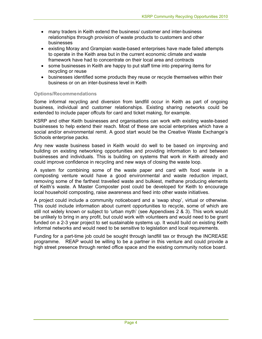- many traders in Keith extend the business/ customer and inter-business relationships through provision of waste products to customers and other businesses
- existing Moray and Grampian waste-based enterprises have made failed attempts to operate in the Keith area but in the current economic climate and waste framework have had to concentrate on their local area and contracts
- some businesses in Keith are happy to put staff time into preparing items for recycling or reuse
- businesses identified some products they reuse or recycle themselves within their business or on an inter-business level in Keith

# **Options/Recommendations**

Some informal recycling and diversion from landfill occur in Keith as part of ongoing business, individual and customer relationships. Existing sharing networks could be extended to include paper offcuts for card and ticket making, for example.

KSRP and other Keith businesses and organisations can work with existing waste-based businesses to help extend their reach. Most of these are social enterprises which have a social and/or environmental remit. A good start would be the Creative Waste Exchange's Schools enterprise packs.

Any new waste business based in Keith would do well to be based on improving and building on existing networking opportunities and providing information to and between businesses and individuals. This is building on systems that work in Keith already and could improve confidence in recycling and new ways of closing the waste loop.

A system for combining some of the waste paper and card with food waste in a composting venture would have a good environmental and waste reduction impact, removing some of the farthest travelled waste and bulkiest, methane producing elements of Keith's waste. A Master Composter post could be developed for Keith to encourage local household composting, raise awareness and feed into other waste initiatives.

A project could include a community noticeboard and a 'swap shop', virtual or otherwise. This could include information about current opportunities to recycle, some of which are still not widely known or subject to 'urban myth' (see Appendixes 2 & 3). This work would be unlikely to bring in any profit, but could work with volunteers and would need to be grant funded on a 2-3 year project to set sustainable systems up. It would build on existing Keith informal networks and would need to be sensitive to legislation and local requirements.

Funding for a part-time job could be sought through landfill tax or through the INCREASE programme. REAP would be willing to be a partner in this venture and could provide a high street presence through rented office space and the existing community notice board.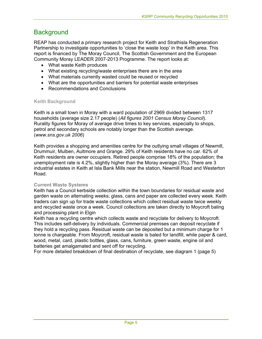# **Background**

REAP has conducted a primary research project for Keith and Strathisla Regeneration Partnership to investigate opportunities to 'close the waste loop' in the Keith area. This report is financed by The Moray Council, The Scottish Government and the European Community Moray LEADER 2007-2013 Programme. The report looks at:

- What waste Keith produces
- What existing recycling/waste enterprises there are in the area
- What materials currently wasted could be reused or recycled
- What are the opportunities and barriers for potential waste enterprises
- Recommendations and Conclusions

# **Keith Background**

Keith is a small town in Moray with a ward population of 2969 divided between 1317 households (average size 2.17 people) (*All figures 2001 Census Moray Council*). Rurality figures for Moray of average drive times to key services, especially to shops, petrol and secondary schools are notably longer than the Scottish average. (*www.sns.gov.uk 2006*)

Keith provides a shopping and amenities centre for the outlying small villages of Newmill, Drummuir, Mulben, Aultmore and Grange. 29% of Keith residents have no car. 62% of Keith residents are owner occupiers. Retired people comprise 18% of the population; the unemployment rate is 4.2%, slightly higher than the Moray average (3%). There are 3 industrial estates in Keith at Isla Bank Mills near the station, Newmill Road and Westerton Road.

# **Current Waste Systems**

Keith has a Council kerbside collection within the town boundaries for residual waste and garden waste on alternating weeks; glass, cans and paper are collected every week. Keith traders can sign up for trade waste collections which collect residual waste twice weekly and recycled waste once a week. Council collections are taken directly to Moycroft baling and processing plant in Elgin

Keith has a recycling centre which collects waste and recyclate for delivery to Moycroft. This includes self-delivery by individuals. Commercial premises can deposit recyclate if they hold a recycling pass. Residual waste can be deposited but a minimum charge for 1 tonne is chargeable. From Moycroft, residual waste is baled for landfill, while paper & card, wood, metal, card, plastic bottles, glass, cans, furniture, green waste, engine oil and batteries get amalgamated and sent off for recycling.

For more detailed breakdown of final destination of recyclate, see diagram 1 (page 5)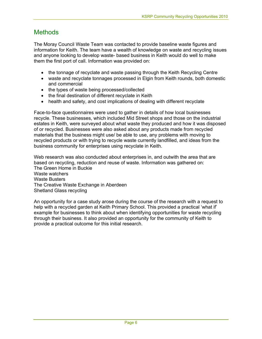# **Methods**

The Moray Council Waste Team was contacted to provide baseline waste figures and information for Keith. The team have a wealth of knowledge on waste and recycling issues and anyone looking to develop waste- based business in Keith would do well to make them the first port of call. Information was provided on:

- the tonnage of recyclate and waste passing through the Keith Recycling Centre
- waste and recyclate tonnages processed in Elgin from Keith rounds, both domestic and commercial
- the types of waste being processed/collected
- the final destination of different recyclate in Keith
- health and safety, and cost implications of dealing with different recyclate

Face-to-face questionnaires were used to gather in details of how local businesses recycle. These businesses, which included Mid Street shops and those on the industrial estates in Keith, were surveyed about what waste they produced and how it was disposed of or recycled. Businesses were also asked about any products made from recycled materials that the business might use/ be able to use, any problems with moving to recycled products or with trying to recycle waste currently landfilled, and ideas from the business community for enterprises using recyclate in Keith.

Web research was also conducted about enterprises in, and outwith the area that are based on recycling, reduction and reuse of waste. Information was gathered on: The Green Home in Buckie Waste watchers Waste Busters The Creative Waste Exchange in Aberdeen Shetland Glass recycling

An opportunity for a case study arose during the course of the research with a request to help with a recycled garden at Keith Primary School. This provided a practical 'what if' example for businesses to think about when identifying opportunities for waste recycling through their business. It also provided an opportunity for the community of Keith to provide a practical outcome for this initial research.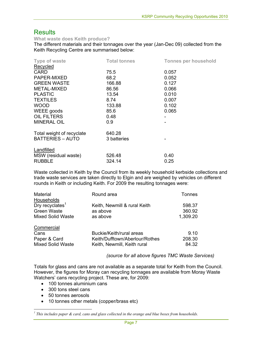# **Results**

**What waste does Keith produce?** 

The different materials and their tonnages over the year (Jan-Dec 09) collected from the Keith Recycling Centre are summarised below:

| <b>Type of waste</b>      | <b>Total tonnes</b> | <b>Tonnes per household</b> |
|---------------------------|---------------------|-----------------------------|
| Recycled                  |                     |                             |
| <b>CARD</b>               | 75.5                | 0.057                       |
| PAPER-MIXED               | 68.2                | 0.052                       |
| <b>GREEN WASTE</b>        | 166.88              | 0.127                       |
| METAL-MIXED               | 86.56               | 0.066                       |
| <b>PLASTIC</b>            | 13.54               | 0.010                       |
| <b>TEXTILES</b>           | 8.74                | 0.007                       |
| <b>WOOD</b>               | 133.88              | 0.102                       |
| WEEE goods                | 85.6                | 0.065                       |
| <b>OIL FILTERS</b>        | 0.48                |                             |
| <b>MINERAL OIL</b>        | 0.9                 |                             |
| Total weight of recyclate | 640.28              |                             |
| <b>BATTERIES - AUTO</b>   | 3 batteries         |                             |
| Landfilled                |                     |                             |
| MSW (residual waste)      | 526.48              | 0.40                        |
| <b>RUBBLE</b>             | 324.14              | 0.25                        |

Waste collected in Keith by the Council from its weekly household kerbside collections and trade waste services are taken directly to Elgin and are weighed by vehicles on different rounds in Keith or including Keith. For 2009 the resulting tonnages were:

| Material                    | Round area                     | <b>Tonnes</b> |
|-----------------------------|--------------------------------|---------------|
| Households                  |                                |               |
| Dry recyclates <sup>1</sup> | Keith, Newmill & rural Keith   | 598.37        |
| <b>Green Waste</b>          | as above                       | 360.92        |
| <b>Mixed Solid Waste</b>    | as above                       | 1,309.20      |
| Commercial                  |                                |               |
| Cans                        | Buckie/Keith/rural areas       | 9.10          |
| Paper & Card                | Keith/Dufftown/Aberlour/Rothes | 208.30        |
| <b>Mixed Solid Waste</b>    | Keith, Newmill, Keith rural    | 84.32         |

*(source for all above figures TMC Waste Services)* 

Totals for glass and cans are not available as a separate total for Keith from the Council. However, the figures for Moray can recycling tonnages are available from Moray Waste Watchers' cans recycling project. These are, for 2009:

- 100 tonnes aluminium cans
- 300 tons steel cans
- 50 tonnes aerosols
- 10 tonnes other metals (copper/brass etc)

 *1 This includes paper & card, cans and glass collected in the orange and blue boxes from households.*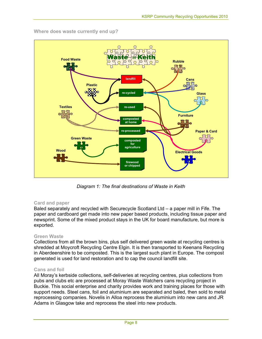

**Where does waste currently end up?** 

*Diagram 1: The final destinations of Waste in Keith* 

# **Card and paper**

Baled separately and recycled with Securecycle Scotland Ltd – a paper mill in Fife. The paper and cardboard get made into new paper based products, including tissue paper and newsprint. Some of the mixed product stays in the UK for board manufacture, but more is exported.

#### **Green Waste**

Collections from all the brown bins, plus self delivered green waste at recycling centres is shredded at Moycroft Recycling Centre Elgin. It is then transported to Keenans Recycling in Aberdeenshire to be composted. This is the largest such plant in Europe. The compost generated is used for land restoration and to cap the council landfill site.

#### **Cans and foil**

All Moray's kerbside collections, self-deliveries at recycling centres, plus collections from pubs and clubs etc are processed at Moray Waste Watchers cans recycling project in Buckie. This social enterprise and charity provides work and training places for those with support needs. Steel cans, foil and aluminium are separated and baled, then sold to metal reprocessing companies. Novelis in Alloa reprocess the aluminium into new cans and JR Adams in Glasgow take and reprocess the steel into new products.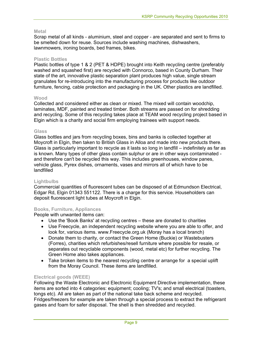#### **Metal**

Scrap metal of all kinds - aluminium, steel and copper - are separated and sent to firms to be smelted down for reuse. Sources include washing machines, dishwashers, lawnmowers, ironing boards, bed frames, bikes.

#### **Plastic Bottles**

Plastic bottles of type 1 & 2 (PET & HDPE) brought into Keith recycling centre (preferably washed and squashed first) are recycled with Connorco, based in County Durham. Their state of the art, innovative plastic separation plant produces high value, single stream granulates for re-introducing into the manufacturing process for products like outdoor furniture, fencing, cable protection and packaging in the UK. Other plastics are landfilled.

#### **Wood**

Collected and considered either as clean or mixed. The mixed will contain woodchip, laminates, MDF, painted and treated timber. Both streams are passed on for shredding and recycling. Some of this recycling takes place at TEAM wood recycling project based in Elgin which is a charity and social firm employing trainees with support needs.

#### **Glass**

Glass bottles and jars from recycling boxes, bins and banks is collected together at Moycroft in Elgin, then taken to British Glass in Alloa and made into new products there. Glass is particularly important to recycle as it lasts so long in landfill – indefinitely as far as is known. Many types of other glass contain sulphur or are in other ways contaminated and therefore can't be recycled this way. This includes greenhouses, window panes, vehicle glass, Pyrex dishes, ornaments, vases and mirrors all of which have to be landfilled

# **Lightbulbs**

Commercial quantities of fluorescent tubes can be disposed of at Edmundson Electrical, Edgar Rd, Elgin 01343 551122. There is a charge for this service. Householders can deposit fluorescent light tubes at Moycroft in Elgin.

# **Books, Furniture, Appliances**

People with unwanted items can:

- Use the 'Book Banks' at recycling centres these are donated to charities
- Use Freecycle, an independent recycling website where you are able to offer, and look for, various items. www.Freecycle.org.uk (Moray has a local branch)
- Donate them to charity, or contact the Green Home (Buckie) or Wastebusters (Forres), charities which refurbishes/resell furniture where possible for resale, or separates out recyclable components (wood, metal etc) for further recycling. The Green Home also takes appliances.
- Take broken items to the nearest recycling centre or arrange for a special uplift from the Moray Council. These items are landfilled.

# **Electrical goods (WEEE)**

Following the Waste Electronic and Electronic Equipment Directive implementation, these items are sorted into 4 categories: equipment; cooling; TV's; and small electrical (toasters, tongs etc). All are taken as part of the national take back scheme and recycled. Fridges/freezers for example are taken through a special process to extract the refrigerant gases and foam for safer disposal. The shell is then shredded and recycled.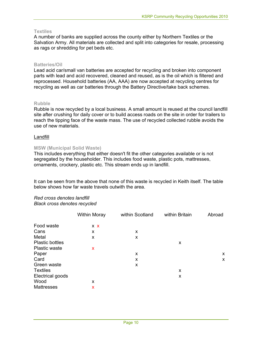# **Textiles**

A number of banks are supplied across the county either by Northern Textiles or the Salvation Army. All materials are collected and split into categories for resale, processing as rags or shredding for pet beds etc.

#### **Batteries/Oil**

Lead acid car/small van batteries are accepted for recycling and broken into component parts with lead and acid recovered, cleaned and reused, as is the oil which is filtered and reprocessed. Household batteries (AA, AAA) are now accepted at recycling centres for recycling as well as car batteries through the Battery Directive/take back schemes.

#### **Rubble**

Rubble is now recycled by a local business. A small amount is reused at the council landfill site after crushing for daily cover or to build access roads on the site in order for trailers to reach the tipping face of the waste mass. The use of recycled collected rubble avoids the use of new materials.

#### **Landfill**

#### **MSW (Municipal Solid Waste)**

This includes everything that either doesn't fit the other categories available or is not segregated by the householder. This includes food waste, plastic pots, mattresses, ornaments, crockery, plastic etc. This stream ends up in landfill.

It can be seen from the above that none of this waste is recycled in Keith itself. The table below shows how far waste travels outwith the area.

# *Red cross denotes landfill*

*Black cross denotes recycled* 

| <b>Within Moray</b> | within Scotland | within Britain | Abroad |
|---------------------|-----------------|----------------|--------|
| XX                  |                 |                |        |
| X                   | X               |                |        |
| X                   | X               |                |        |
|                     |                 | x              |        |
| X                   |                 |                |        |
|                     | X               |                | X      |
|                     | X               |                | X      |
|                     | X               |                |        |
|                     |                 | X              |        |
|                     |                 | X              |        |
| X                   |                 |                |        |
| x                   |                 |                |        |
|                     |                 |                |        |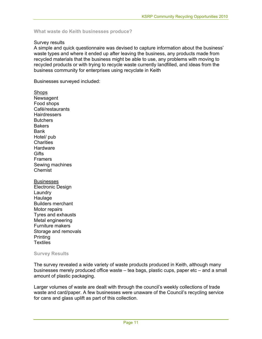**What waste do Keith businesses produce?** 

#### Survey results

A simple and quick questionnaire was devised to capture information about the business' waste types and where it ended up after leaving the business, any products made from recycled materials that the business might be able to use, any problems with moving to recycled products or with trying to recycle waste currently landfilled, and ideas from the business community for enterprises using recyclate in Keith

Businesses surveyed included:

**Shops** Newsagent Food shops Café/restaurants **Hairdressers Butchers Bakers** Bank Hotel/ pub **Charities Hardware Gifts** Framers Sewing machines Chemist

**Businesses** Electronic Design **Laundry** Haulage Builders merchant Motor repairs Tyres and exhausts Metal engineering Furniture makers Storage and removals **Printing Textiles** 

#### **Survey Results**

The survey revealed a wide variety of waste products produced in Keith, although many businesses merely produced office waste – tea bags, plastic cups, paper etc – and a small amount of plastic packaging.

Larger volumes of waste are dealt with through the council's weekly collections of trade waste and card/paper. A few businesses were unaware of the Council's recycling service for cans and glass uplift as part of this collection.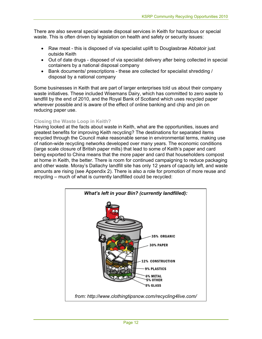There are also several special waste disposal services in Keith for hazardous or special waste. This is often driven by legislation on health and safety or security issues:

- Raw meat this is disposed of via specialist uplift to Douglasbrae Abbatoir just outside Keith
- Out of date drugs disposed of via specialist delivery after being collected in special containers by a national disposal company
- Bank documents/ prescriptions these are collected for specialist shredding / disposal by a national company

Some businesses in Keith that are part of larger enterprises told us about their company waste initiatives. These included Wisemans Dairy, which has committed to zero waste to landfill by the end of 2010, and the Royal Bank of Scotland which uses recycled paper wherever possible and is aware of the effect of online banking and chip and pin on reducing paper use.

# **Closing the Waste Loop in Keith?**

Having looked at the facts about waste in Keith, what are the opportunities, issues and greatest benefits for improving Keith recycling? The destinations for separated items recycled through the Council make reasonable sense in environmental terms, making use of nation-wide recycling networks developed over many years. The economic conditions (large scale closure of British paper mills) that lead to some of Keith's paper and card being exported to China means that the more paper and card that householders compost at home in Keith, the better. There is room for continued campaigning to reduce packaging and other waste. Moray's Dallachy landfill site has only 12 years of capacity left, and waste amounts are rising (see Appendix 2). There is also a role for promotion of more reuse and recycling – much of what is currently landfilled could be recycled:

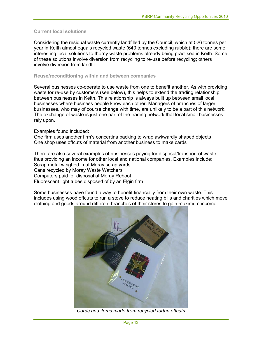# **Current local solutions**

Considering the residual waste currently landfilled by the Council, which at 526 tonnes per year in Keith almost equals recycled waste (640 tonnes excluding rubble); there are some interesting local solutions to thorny waste problems already being practised in Keith. Some of these solutions involve diversion from recycling to re-use before recycling; others involve diversion from landfill

### **Reuse/reconditioning within and between companies**

Several businesses co-operate to use waste from one to benefit another. As with providing waste for re-use by customers (see below), this helps to extend the trading relationship between businesses in Keith. This relationship is always built up between small local businesses where business people know each other. Managers of branches of larger businesses, who may of course change with time, are unlikely to be a part of this network. The exchange of waste is just one part of the trading network that local small businesses rely upon.

# Examples found included:

One firm uses another firm's concertina packing to wrap awkwardly shaped objects One shop uses offcuts of material from another business to make cards

There are also several examples of businesses paying for disposal/transport of waste, thus providing an income for other local and national companies. Examples include: Scrap metal weighed in at Moray scrap yards Cans recycled by Moray Waste Watchers Computers paid for disposal at Moray Reboot Fluorescent light tubes disposed of by an Elgin firm

Some businesses have found a way to benefit financially from their own waste. This includes using wood offcuts to run a stove to reduce heating bills and charities which move clothing and goods around different branches of their stores to gain maximum income.



*Cards and items made from recycled tartan offcuts*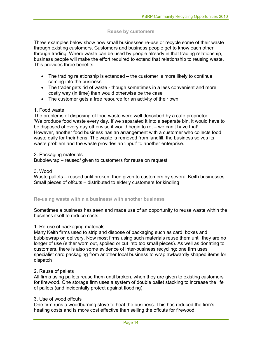#### **Reuse by customers**

Three examples below show how small businesses re-use or recycle some of their waste through existing customers. Customers and business people get to know each other through trading. Where waste can be used by people already in that trading relationship, business people will make the effort required to extend that relationship to reusing waste. This provides three benefits:

- The trading relationship is extended the customer is more likely to continue coming into the business
- The trader gets rid of waste though sometimes in a less convenient and more costly way (in time) than would otherwise be the case
- The customer gets a free resource for an activity of their own

#### 1. Food waste

The problems of disposing of food waste were well described by a café proprietor: 'We produce food waste every day. If we separated it into a separate bin, it would have to be disposed of every day otherwise it would begin to rot – we can't have that!' However, another food business has an arrangement with a customer who collects food waste daily for their hens. The waste is removed from landfill, the business solves its waste problem and the waste provides an 'input' to another enterprise.

#### 2. Packaging materials

Bubblewrap – reused/ given to customers for reuse on request

#### 3. Wood

Waste pallets – reused until broken, then given to customers by several Keith businesses Small pieces of offcuts – distributed to elderly customers for kindling

#### **Re-using waste within a business/ with another business**

Sometimes a business has seen and made use of an opportunity to reuse waste within the business itself to reduce costs

#### 1. Re-use of packaging materials

Many Keith firms used to strip and dispose of packaging such as card, boxes and bubblewrap on delivery. Now most firms using such materials reuse them until they are no longer of use (either worn out, spoiled or cut into too small pieces). As well as donating to customers, there is also some evidence of inter-business recycling: one firm uses specialist card packaging from another local business to wrap awkwardly shaped items for dispatch

#### 2. Reuse of pallets

All firms using pallets reuse them until broken, when they are given to existing customers for firewood. One storage firm uses a system of double pallet stacking to increase the life of pallets (and incidentally protect against flooding)

# 3. Use of wood offcuts

One firm runs a woodburning stove to heat the business. This has reduced the firm's heating costs and is more cost effective than selling the offcuts for firewood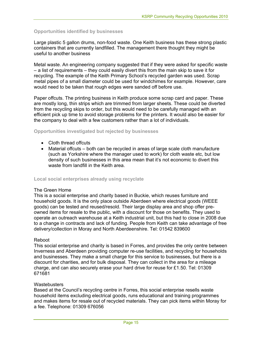# **Opportunities identified by businesses**

Large plastic 5 gallon drums, non-food waste. One Keith business has these strong plastic containers that are currently landfilled. The management there thought they might be useful to another business

Metal waste. An engineering company suggested that if they were asked for specific waste – a list of requirements – they could easily divert this from the main skip to save it for recycling. The example of the Keith Primary School's recycled garden was used. Scrap metal pipes of a small diameter could be used for windchimes for example. However, care would need to be taken that rough edges were sanded off before use.

Paper offcuts. The printing business in Keith produce some scrap card and paper. These are mostly long, thin strips which are trimmed from larger sheets. These could be diverted from the recycling skips to order, but this would need to be carefully managed with an efficient pick up time to avoid storage problems for the printers. It would also be easier for the company to deal with a few customers rather than a lot of individuals.

#### **Opportunities investigated but rejected by businesses**

- Cloth thread offcuts
- Material offcuts both can be recycled in areas of large scale cloth manufacture (such as Yorkshire where the manager used to work) for cloth waste etc, but low density of such businesses in this area mean that it's not economic to divert this waste from landfill in the Keith area.

#### **Local social enterprises already using recyclate**

#### The Green Home

This is a social enterprise and charity based in Buckie, which reuses furniture and household goods. It is the only place outside Aberdeen where electrical goods (WEEE goods) can be tested and reused/resold. Their large display area and shop offer preowned items for resale to the public, with a discount for those on benefits. They used to operate an outreach warehouse at a Keith industrial unit, but this had to close in 2008 due to a change in contracts and lack of funding. People from Keith can take advantage of free delivery/collection in Moray and North Aberdeenshire. Tel: 01542 839600

#### Reboot

This social enterprise and charity is based in Forres, and provides the only centre between Inverness and Aberdeen providing computer re-use facilities, and recycling for households and businesses. They make a small charge for this service to businesses, but there is a discount for charities, and for bulk disposal. They can collect in the area for a mileage charge, and can also securely erase your hard drive for reuse for £1.50. Tel: 01309 671681

#### **Wastebusters**

Based at the Council's recycling centre in Forres, this social enterprise resells waste household items excluding electrical goods, runs educational and training programmes and makes items for resale out of recycled materials. They can pick items within Moray for a fee. Telephone: 01309 676056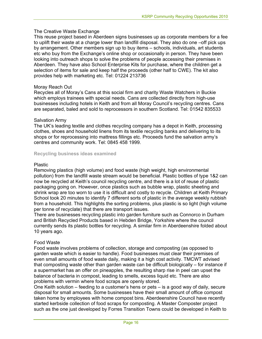# The Creative Waste Exchange

This reuse project based in Aberdeen signs businesses up as corporate members for a fee to uplift their waste at a charge lower than landfill disposal. They also do one –off pick ups by arrangement. Other members sign up to buy items – schools, individuals, art students etc who buy from the Exchange's online shop or occasionally in person. They have been looking into outreach shops to solve the problems of people accessing their premises in Aberdeen. They have also School Enterprise Kits for purchase, where the children get a selection of items for sale and keep half the proceeds (other half to CWE). The kit also provides help with marketing etc. Tel: 01224 213736

# Moray Reach Out

Recycles all of Moray's Cans at this social firm and charity Waste Watchers in Buckie which employs trainees with special needs. Cans are collected directly from high-use businesses including hotels in Keith and from all Moray Council's recycling centres. Cans are separated, baled and sold to reprocessors in southern Scotland. Tel: 01542 835533

#### Salvation Army

The UK's leading textile and clothes recycling company has a depot in Keith, processing clothes, shoes and household linens from its textile recycling banks and delivering to its shops or for reprocessing into mattress fillings etc. Proceeds fund the salvation army's centres and community work. Tel: 0845 458 1999.

#### **Recycling business ideas examined**

#### Plastic

Removing plastics (high volume) and food waste (high weight, high environmental pollution) from the landfill waste stream would be beneficial. Plastic bottles of type 1&2 can now be recycled at Keith's council recycling centre, and there is a lot of reuse of plastic packaging going on. However, once plastics such as bubble wrap, plastic sheeting and shrink wrap are too worn to use it is difficult and costly to recycle. Children at Keith Primary School took 20 minutes to identify 7 different sorts of plastic in the average weekly rubbish from a household. This highlights the sorting problems, plus plastic is so light (high volume per tonne of recyclate) that there are transport issues.

There are businesses recycling plastic into garden furniture such as Connorco in Durham and British Recycled Products based in Hebden Bridge, Yorkshire where the council currently sends its plastic bottles for recycling. A similar firm in Aberdeenshire folded about 10 years ago.

# Food Waste

Food waste involves problems of collection, storage and composting (as opposed to garden waste which is easier to handle). Food businesses must clear their premises of even small amounts of food waste daily, making it a high cost activity. TMCWT advised that composting waste other than garden waste can be difficult biologically – for instance if a supermarket has an offer on pineapples, the resulting sharp rise in peel can upset the balance of bacteria in compost, leading to smells, excess liquid etc. There are also problems with vermin where food scraps are openly stored.

One Keith solution – feeding to a customer's hens or pets – is a good way of daily, secure disposal for small amounts. Some businesses have their small amount of office compost taken home by employees with home compost bins. Aberdeenshire Council have recently started kerbside collection of food scraps for composting. A Master Composter project such as the one just developed by Forres Transition Towns could be developed in Keith to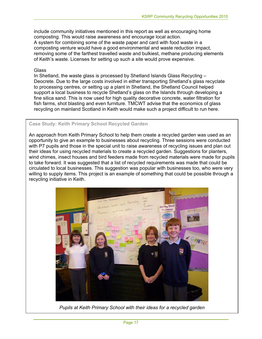include community initiatives mentioned in this report as well as encouraging home composting. This would raise awareness and encourage local action. A system for combining some of the waste paper and card with food waste in a composting venture would have a good environmental and waste reduction impact, removing some of the farthest travelled waste and bulkiest, methane producing elements of Keith's waste. Licenses for setting up such a site would prove expensive.

### **Glass**

In Shetland, the waste glass is processed by Shetland Islands Glass Recycling – Deocrete. Due to the large costs involved in either transporting Shetland's glass recyclate to processing centres, or setting up a plant in Shetland, the Shetland Council helped support a local business to recycle Shetland's glass on the Islands through developing a fine silica sand. This is now used for high quality decorative concrete, water filtration for fish farms, shot blasting and even furniture. TMCWT advise that the economics of glass recycling on mainland Scotland in Keith would make such a project difficult to run here.

# **Case Study: Keith Primary School Recycled Garden**

An approach from Keith Primary School to help them create a recycled garden was used as an opportunity to give an example to businesses about recycling. Three sessions were conducted with P7 pupils and those in the special unit to raise awareness of recycling issues and plan out their ideas for using recycled materials to create a recycled garden. Suggestions for planters, wind chimes, insect houses and bird feeders made from recycled materials were made for pupils to take forward. It was suggested that a list of recycled requirements was made that could be circulated to local businesses. This suggestion was popular with businesses too, who were very willing to supply items. This project is an example of something that could be possible through a recycling initiative in Keith.



*Pupils at Keith Primary School with their ideas for a recycled garden*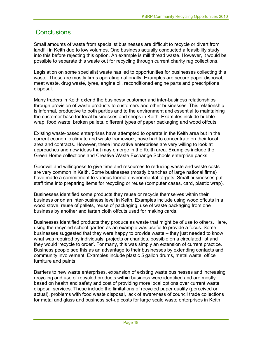# **Conclusions**

Small amounts of waste from specialist businesses are difficult to recycle or divert from landfill in Keith due to low volumes. One business actually conducted a feasibility study into this before rejecting this option. An example is mill thread waste. However, it would be possible to separate this waste out for recycling through current charity rag collections.

Legislation on some specialist waste has led to opportunities for businesses collecting this waste. These are mostly firms operating nationally. Examples are secure paper disposal, meat waste, drug waste, tyres, engine oil, reconditioned engine parts and prescriptions disposal.

Many traders in Keith extend the business/ customer and inter-business relationships through provision of waste products to customers and other businesses. This relationship is informal, productive to both parties and to the environment and essential to maintaining the customer base for local businesses and shops in Keith. Examples include bubble wrap, food waste, broken pallets, different types of paper packaging and wood offcuts

Existing waste-based enterprises have attempted to operate in the Keith area but in the current economic climate and waste framework, have had to concentrate on their local area and contracts. However, these innovative enterprises are very willing to look at approaches and new ideas that may emerge in the Keith area. Examples include the Green Home collections and Creative Waste Exchange Schools enterprise packs

Goodwill and willingness to give time and resources to reducing waste and waste costs are very common in Keith. Some businesses (mostly branches of large national firms) have made a commitment to various formal environmental targets. Small businesses put staff time into preparing items for recycling or reuse (computer cases, card, plastic wrap).

Businesses identified some products they reuse or recycle themselves within their business or on an inter-business level in Keith. Examples include using wood offcuts in a wood stove, reuse of pallets, reuse of packaging, use of waste packaging from one business by another and tartan cloth offcuts used for making cards.

Businesses identified products they produce as waste that might be of use to others. Here, using the recycled school garden as an example was useful to provide a focus. Some businesses suggested that they were happy to provide waste – they just needed to know what was required by individuals, projects or charities, possible on a circulated list and they would 'recycle to order'. For many, this was simply an extension of current practice. Business people see this as an advantage to their businesses by extending contacts and community involvement. Examples include plastic 5 gallon drums, metal waste, office furniture and paints.

Barriers to new waste enterprises, expansion of existing waste businesses and increasing recycling and use of recycled products within business were identified and are mostly based on health and safety and cost of providing more local options over current waste disposal services. These include the limitations of recycled paper quality (perceived or actual), problems with food waste disposal, lack of awareness of council trade collections for metal and glass and business set-up costs for large scale waste enterprises in Keith.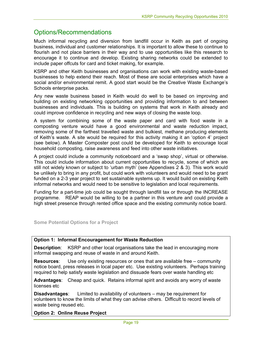# Options/Recommendations

Much informal recycling and diversion from landfill occur in Keith as part of ongoing business, individual and customer relationships. It is important to allow these to continue to flourish and not place barriers in their way and to use opportunities like this research to encourage it to continue and develop. Existing sharing networks could be extended to include paper offcuts for card and ticket making, for example.

KSRP and other Keith businesses and organisations can work with existing waste-based businesses to help extend their reach. Most of these are social enterprises which have a social and/or environmental remit. A good start would be the Creative Waste Exchange's Schools enterprise packs.

Any new waste business based in Keith would do well to be based on improving and building on existing networking opportunities and providing information to and between businesses and individuals. This is building on systems that work in Keith already and could improve confidence in recycling and new ways of closing the waste loop.

A system for combining some of the waste paper and card with food waste in a composting venture would have a good environmental and waste reduction impact, removing some of the farthest travelled waste and bulkiest, methane producing elements of Keith's waste. A site would be required for this activity making it an 'option 4' project (see below). A Master Composter post could be developed for Keith to encourage local household composting, raise awareness and feed into other waste initiatives.

A project could include a community noticeboard and a 'swap shop', virtual or otherwise. This could include information about current opportunities to recycle, some of which are still not widely known or subject to 'urban myth' (see Appendixes 2 & 3). This work would be unlikely to bring in any profit, but could work with volunteers and would need to be grant funded on a 2-3 year project to set sustainable systems up. It would build on existing Keith informal networks and would need to be sensitive to legislation and local requirements.

Funding for a part-time job could be sought through landfill tax or through the INCREASE programme. REAP would be willing to be a partner in this venture and could provide a high street presence through rented office space and the existing community notice board.

**Some Potential Options for a Project** 

# **Option 1: Informal Encouragement for Waste Reduction**

**Description**: KSRP and other local organisations take the lead in encouraging more informal swapping and reuse of waste in and around Keith.

**Resources**: Use only existing resources or ones that are available free – community notice board, press releases in local paper etc. Use existing volunteers. Perhaps training required to help satisfy waste legislation and dissuade fears over waste handling etc

**Advantages**: Cheap and quick. Retains informal spirit and avoids any worry of waste licenses etc

**Disadvantages**: Limited to availability of volunteers – may be requirement for volunteers to know the limits of what they can advise others. Difficult to record levels of waste being reused etc.

**Option 2: Online Reuse Project**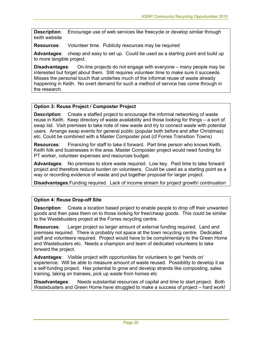**Description**: Encourage use of web services like freecycle or develop similar through keith website

**Resources**: Volunteer time. Publicity resources may be required

**Advantages**: cheap and easy to set up. Could be used as a starting point and build up to more tangible project.

**Disadvantages**: On-line projects do not engage with everyone – many people may be interested but forget about them. Still requires volunteer time to make sure it succeeds. Misses the personal touch that underlies much of the informal reuse of waste already happening in Keith. No overt demand for such a method of service has come through in the research.

# **Option 3: Reuse Project / Composter Project**

**Description**: Create a staffed project to encourage the informal networking of waste reuse in Keith. Keep directory of waste availability and those looking for things – a sort of swap list. Visit premises to take note of new waste and try to connect waste with potential users. Arrange swap events for general public (popular both before and after Christmas) etc. Could be combined with a Master Composter post (cf Forres Transition Towns)

**Resources**: Financing for staff to take it forward. Part time person who knows Keith, Keith folk and businesses in the area. Master Composter project would need funding for PT worker, volunteer expenses and resources budget.

**Advantages**: No premises to store waste required. Low key. Paid time to take forward project and therefore reduce burden on volunteers. Could be used as a starting point as a way or recording evidence of waste and put together proposal for larger project.

**Disadvantages**:Funding required. Lack of income stream for project growth/ continuation

# **Option 4: Reuse Drop-off Site**

**Description**: Create a location based project to enable people to drop off their unwanted goods and then pass them on to those looking for free/cheap goods. This could be similar to the Wastebusters project at the Forres recycling centre.

**Resources**: Larger project so larger amount of external funding required. Land and premises required. There is probably not space at the town recycling centre. Dedicated staff and volunteers required. Project would have to be complimentary to the Green Home and Wastebusters etc. Needs a champion and team of dedicated volunteers to take forward the project.

**Advantages**: Visible project with opportunities for volunteers to get 'hands on' experience. Will be able to measure amount of waste reused. Possibility to develop it as a self-funding project. Has potential to grow and develop strands like composting, sales training, taking on trainees, pick up waste from homes etc

**Disadvantages**: Needs substantial resources of capital and time to start project. Both Wastebusters and Green Home have struggled to make a success of project – hard work!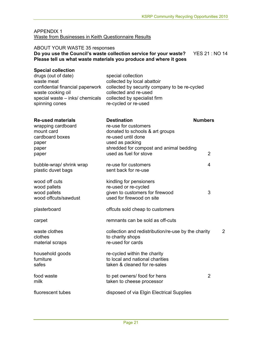#### APPENDIX 1 Waste from Businesses in Keith Questionnaire Results

#### ABOUT YOUR WASTE 35 responses

# **Do you use the Council's waste collection service for your waste?** YES 21 : NO 14 **Please tell us what waste materials you produce and where it goes**

| <b>Special collection</b><br>drugs (out of date)<br>waste meat<br>confidential financial paperwork<br>waste cooking oil<br>special waste - inks/ chemicals | special collection<br>collected by local abattoir<br>collected by security company to be re-cycled<br>collected and re-used<br>collected by specialist firm |                |   |
|------------------------------------------------------------------------------------------------------------------------------------------------------------|-------------------------------------------------------------------------------------------------------------------------------------------------------------|----------------|---|
| spinning cones                                                                                                                                             | re-cycled or re-used                                                                                                                                        |                |   |
| <b>Re-used materials</b><br>wrapping cardboard<br>mount card<br>cardboard boxes<br>paper                                                                   | <b>Destination</b><br>re-use for customers<br>donated to schools & art groups<br>re-used until done<br>used as packing                                      | <b>Numbers</b> |   |
| paper<br>paper                                                                                                                                             | shredded for compost and animal bedding<br>used as fuel for stove                                                                                           | 2              |   |
| bubble-wrap/ shrink wrap<br>plastic duvet bags                                                                                                             | re-use for customers<br>sent back for re-use                                                                                                                | 4              |   |
| wood off cuts<br>wood pallets<br>wood pallets<br>wood offcuts/sawdust                                                                                      | kindling for pensioners<br>re-used or re-cycled<br>given to customers for firewood<br>used for firewood on site                                             | 3              |   |
| plasterboard                                                                                                                                               | offcuts sold cheap to customers                                                                                                                             |                |   |
| carpet                                                                                                                                                     | remnants can be sold as off-cuts                                                                                                                            |                |   |
| waste clothes<br>clothes<br>material scraps                                                                                                                | collection and redistribution/re-use by the charity<br>to charity shops<br>re-used for cards                                                                |                | 2 |
| household goods<br>furniture<br>safes                                                                                                                      | re-cycled within the charity<br>to local and national charities<br>taken & cleaned for re-sales                                                             |                |   |
| food waste<br>milk                                                                                                                                         | to pet owners/ food for hens<br>taken to cheese processor                                                                                                   | $\overline{2}$ |   |
| fluorescent tubes                                                                                                                                          | disposed of via Elgin Electrical Supplies                                                                                                                   |                |   |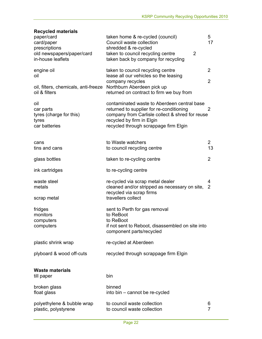# **Recycled materials**

| paper/card<br>card/paper<br>prescriptions<br>old newspapers/paper/card<br>in-house leaflets | taken home & re-cycled (council)<br>Council waste collection<br>shredded & re-cycled<br>taken to council recycling centre<br>2<br>taken back by company for recycling                                            | 5<br>17              |
|---------------------------------------------------------------------------------------------|------------------------------------------------------------------------------------------------------------------------------------------------------------------------------------------------------------------|----------------------|
| engine oil<br>oil                                                                           | taken to council recycling centre<br>lease all our vehicles so the leasing<br>company recycles                                                                                                                   | 2<br>$\overline{2}$  |
| oil, filters, chemicals, anti-freeze<br>oil & filters                                       | Northburn Aberdeen pick up<br>returned on contract to firm we buy from                                                                                                                                           |                      |
| oil<br>car parts<br>tyres (charge for this)<br>tyres<br>car batteries                       | contaminated waste to Aberdeen central base<br>returned to supplier for re-conditioning<br>company from Carlisle collect & shred for reuse<br>recycled by firm in Elgin<br>recycled through scrappage firm Elgin | 2                    |
| cans<br>tins and cans                                                                       | to Waste watchers<br>to council recycling centre                                                                                                                                                                 | $\overline{2}$<br>13 |
| glass bottles                                                                               | taken to re-cycling centre                                                                                                                                                                                       | 2                    |
| ink cartridges                                                                              | to re-cycling centre                                                                                                                                                                                             |                      |
| waste steel<br>metals<br>scrap metal                                                        | re-cycled via scrap metal dealer<br>cleaned and/or stripped as necessary on site,<br>recycled via scrap firms<br>travellers collect                                                                              | 4<br>2               |
| fridges<br>monitors<br>computers<br>computers                                               | sent to Perth for gas removal<br>to ReBoot<br>to ReBoot<br>if not sent to Reboot, disassembled on site into<br>component parts/recycled                                                                          |                      |
| plastic shrink wrap                                                                         | re-cycled at Aberdeen                                                                                                                                                                                            |                      |
| plyboard & wood off-cuts                                                                    | recycled through scrappage firm Elgin                                                                                                                                                                            |                      |
| <b>Waste materials</b><br>till paper                                                        | bin                                                                                                                                                                                                              |                      |
| broken glass<br>float glass                                                                 | binned<br>into bin - cannot be re-cycled                                                                                                                                                                         |                      |
| polyethylene & bubble wrap<br>plastic, polystyrene                                          | to council waste collection<br>to council waste collection                                                                                                                                                       | 6<br>$\overline{7}$  |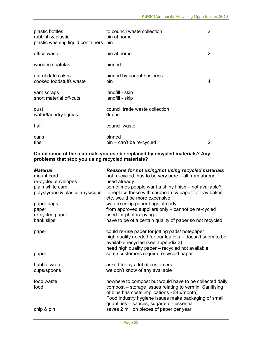| plastic bottles<br>rubbish & plastic<br>plastic washing liquid containers | to council waste collection<br>bin at home<br>bin | 2 |
|---------------------------------------------------------------------------|---------------------------------------------------|---|
| office waste                                                              | bin at home                                       | 2 |
| wooden spatulas                                                           | binned                                            |   |
| out of date cakes<br>cooked foodstuffs waste                              | binned by parent business<br>bin.                 | 4 |
| yarn scraps<br>short material off-cuts                                    | landfill - skip<br>landfill - skip                |   |
| dust<br>water/laundry liquids                                             | council trade waste collection<br>drains          |   |
| hair                                                                      | council waste                                     |   |
| cans<br>tins                                                              | binned<br>bin – can't be re-cycled                | 2 |

#### **Could some of the materials you use be replaced by recycled materials? Any problems that stop you using recycled materials?**

| <b>Material</b><br>mount card    | Reasons for not using/not using recycled materials<br>not re-cycled, has to be very pure – all from abroad                                                                                                                |
|----------------------------------|---------------------------------------------------------------------------------------------------------------------------------------------------------------------------------------------------------------------------|
| re-cycled envelopes              | used already                                                                                                                                                                                                              |
| plain white card                 | sometimes people want a shiny finish - not available?                                                                                                                                                                     |
| polystyrene & plastic trays/cups | to replace these with cardboard & paper for tray bakes<br>etc. would be more expensive.                                                                                                                                   |
| paper bags                       | we are using paper bags already                                                                                                                                                                                           |
| paper                            | from approved suppliers only - cannot be re-cycled                                                                                                                                                                        |
| re-cycled paper                  | used for photocopying                                                                                                                                                                                                     |
| bank slips                       | have to be of a certain quality of paper so not recycled                                                                                                                                                                  |
| paper                            | could re-use paper for jotting pads/ notepaper<br>high quality needed for our leaflets – doesn't seem to be<br>available recycled (see appendix 3)<br>need high quality paper - recycled not available                    |
| paper                            | some customers require re-cycled paper                                                                                                                                                                                    |
| bubble wrap<br>cups/spoons       | asked for by a lot of customers<br>we don't know of any available                                                                                                                                                         |
| food waste<br>food               | nowhere to compost but would have to be collected daily<br>compost – storage issues relating to vermin. Sanitising<br>of bins has costs implications - £45/month)<br>Food industry hygiene issues make packaging of small |
| chip & pin                       | quantities - sauces, sugar etc - essential<br>saves 2 million pieces of paper per year                                                                                                                                    |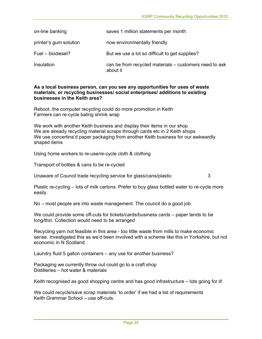| on-line banking        | saves 1 million statements per month                               |
|------------------------|--------------------------------------------------------------------|
| printer's gum solution | now environmentally friendly                                       |
| Fuel - biodiesel?      | But we use a lot so difficult to get supplies?                     |
| Insulation             | can be from recycled materials – customers need to ask<br>about it |

#### **As a local business person, can you see any opportunities for uses of waste materials, or recycling businesses/ social enterprises/ additions to existing businesses in the Keith area?**

Reboot, the computer recycling could do more promotion in Keith Farmers can re-cycle baling shrink wrap

We work with another Keith business and display their items in our shop We are already recycling material scraps through cards etc in 2 Keith shops We use concertina'd paper packaging from another Keith business for our awkwardly shaped items

Using home workers to re-use/re-cycle cloth & clothing

Transport of bottles & cans to be re-cycled

Unaware of Council trade recycling service for glass/cans/plastic 3

Plastic re-cycling – lots of milk cartons. Prefer to buy glass bottled water to re-cycle more easily.

No – most people are into waste management. The council do a good job.

We could provide some off-cuts for tickets/cards/business cards – paper tends to be long/thin. Collection would need to be arranged

Recycling yarn not feasible in this area - too little waste from mills to make economic sense. Investigated this as we'd been involved with a scheme like this in Yorkshire, but not economic in N Scotland

Laundry fluid 5 gallon containers – any use for another business?

Packaging we currently throw out could go to a craft shop Distilleries – hot water & materials

Keith recognised as good shopping centre and has good infrastructure – lots going for it!

We could recycle/save scrap materials 'to order' if we had a list of requirements Keith Grammar School – use off-cuts.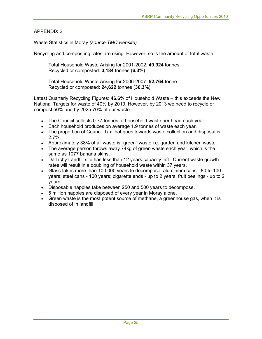# APPENDIX 2

# Waste Statistics in Moray *(source TMC website)*

Recycling and composting rates are rising. However, so is the amount of total waste:

Total Household Waste Arising for 2001-2002: **49,924** tonnes Recycled or composted: **3,184** tonnes (**6.3%**)

Total Household Waste Arising for 2006-2007: **52,764** tonne Recycled or composted: **24,622** tonnes (**36.3%**)

Latest Quarterly Recycling Figures: **46.6%** of Household Waste – this exceeds the New National Targets for waste of 40% by 2010. However, by 2013 we need to recycle or compost 50% and by 2025 70% of our waste.

- The Council collects 0.77 tonnes of household waste per head each year.
- Each household produces on average 1.9 tonnes of waste each year.
- The proportion of Council Tax that goes towards waste collection and disposal is 2.7%.
- Approximately 38% of all waste is "green" waste i.e. garden and kitchen waste.
- The average person throws away 74kg of green waste each year, which is the same as 1077 banana skins.
- Dallachy Landfill site has less than 12 years capacity left. Current waste growth rates will result in a doubling of household waste within 37 years.
- Glass takes more than 100,000 years to decompose; aluminium cans 80 to 100 years; steel cans - 100 years; cigarette ends - up to 2 years; fruit peelings - up to 2 years.
- Disposable nappies take between 250 and 500 years to decompose.
- 5 million nappies are disposed of every year in Moray alone.
- Green waste is the most potent source of methane, a greenhouse gas, when it is disposed of in landfill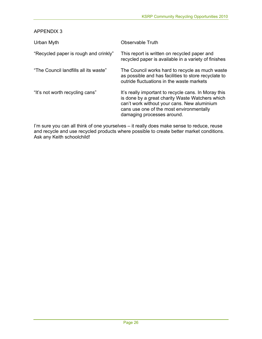APPENDIX 3

| Urban Myth                            | Observable Truth                                                                                                                                                                                                                 |
|---------------------------------------|----------------------------------------------------------------------------------------------------------------------------------------------------------------------------------------------------------------------------------|
| "Recycled paper is rough and crinkly" | This report is written on recycled paper and<br>recycled paper is available in a variety of finishes                                                                                                                             |
| "The Council landfills all its waste" | The Council works hard to recycle as much waste<br>as possible and has facilities to store recyclate to<br>outride fluctuations in the waste markets                                                                             |
| "It's not worth recycling cans"       | It's really important to recycle cans. In Moray this<br>is done by a great charity Waste Watchers which<br>can't work without your cans. New aluminium<br>cans use one of the most environmentally<br>damaging processes around. |

I'm sure you can all think of one yourselves – it really does make sense to reduce, reuse and recycle and use recycled products where possible to create better market conditions. Ask any Keith schoolchild!